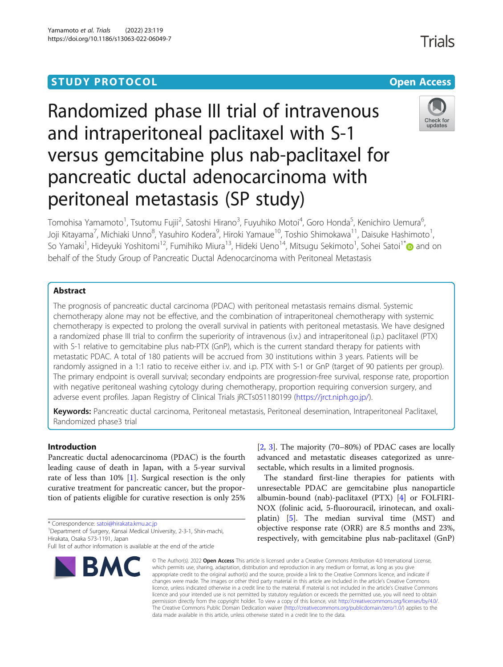## **STUDY PROTOCOL CONSUMING THE RESERVE ACCESS**

# Randomized phase III trial of intravenous and intraperitoneal paclitaxel with S-1 versus gemcitabine plus nab-paclitaxel for pancreatic ductal adenocarcinoma with peritoneal metastasis (SP study)



Tomohisa Yamamoto<sup>1</sup>, Tsutomu Fujii<sup>2</sup>, Satoshi Hirano<sup>3</sup>, Fuyuhiko Motoi<sup>4</sup>, Goro Honda<sup>5</sup>, Kenichiro Uemura<sup>6</sup> , Joji Kitayama<sup>7</sup>, Michiaki Unno<sup>8</sup>, Yasuhiro Kodera<sup>9</sup>, Hiroki Yamaue<sup>10</sup>, Toshio Shimokawa<sup>11</sup>, Daisuke Hashimoto<sup>1</sup> , So Yamaki<sup>1</sup>, Hideyuki Yoshitomi<sup>12</sup>, Fumihiko Miura<sup>13</sup>, Hideki Ueno<sup>14</sup>, Mitsugu Sekimoto<sup>1</sup>, Sohei Satoi<sup>1[\\*](http://orcid.org/0000-0001-6527-5409)</sup>@ and on behalf of the Study Group of Pancreatic Ductal Adenocarcinoma with Peritoneal Metastasis

## Abstract

The prognosis of pancreatic ductal carcinoma (PDAC) with peritoneal metastasis remains dismal. Systemic chemotherapy alone may not be effective, and the combination of intraperitoneal chemotherapy with systemic chemotherapy is expected to prolong the overall survival in patients with peritoneal metastasis. We have designed a randomized phase III trial to confirm the superiority of intravenous (i.v.) and intraperitoneal (i.p.) paclitaxel (PTX) with S-1 relative to gemcitabine plus nab-PTX (GnP), which is the current standard therapy for patients with metastatic PDAC. A total of 180 patients will be accrued from 30 institutions within 3 years. Patients will be randomly assigned in a 1:1 ratio to receive either i.v. and i.p. PTX with S-1 or GnP (target of 90 patients per group). The primary endpoint is overall survival; secondary endpoints are progression-free survival, response rate, proportion with negative peritoneal washing cytology during chemotherapy, proportion requiring conversion surgery, and adverse event profiles. Japan Registry of Clinical Trials jRCTs051180199 ([https://jrct.niph.go.jp/\)](https://jrct.niph.go.jp/).

Keywords: Pancreatic ductal carcinoma, Peritoneal metastasis, Peritoneal desemination, Intraperitoneal Paclitaxel, Randomized phase3 trial

## Introduction

Pancreatic ductal adenocarcinoma (PDAC) is the fourth leading cause of death in Japan, with a 5-year survival rate of less than 10% [[1](#page-5-0)]. Surgical resection is the only curative treatment for pancreatic cancer, but the proportion of patients eligible for curative resection is only 25%

\* Correspondence: [satoi@hirakata.kmu.ac.jp](mailto:satoi@hirakata.kmu.ac.jp) <sup>1</sup>

<sup>1</sup> Department of Surgery, Kansai Medical University, 2-3-1, Shin-machi, Hirakata, Osaka 573-1191, Japan

Full list of author information is available at the end of the article



[[2,](#page-5-0) [3](#page-5-0)]. The majority (70–80%) of PDAC cases are locally advanced and metastatic diseases categorized as unresectable, which results in a limited prognosis.

The standard first-line therapies for patients with unresectable PDAC are gemcitabine plus nanoparticle albumin-bound (nab)-paclitaxel (PTX) [\[4](#page-5-0)] or FOLFIRI-NOX (folinic acid, 5-fluorouracil, irinotecan, and oxaliplatin) [\[5](#page-5-0)]. The median survival time (MST) and objective response rate (ORR) are 8.5 months and 23%, respectively, with gemcitabine plus nab-paclitaxel (GnP)

© The Author(s), 2022 **Open Access** This article is licensed under a Creative Commons Attribution 4.0 International License, which permits use, sharing, adaptation, distribution and reproduction in any medium or format, as long as you give appropriate credit to the original author(s) and the source, provide a link to the Creative Commons licence, and indicate if changes were made. The images or other third party material in this article are included in the article's Creative Commons licence, unless indicated otherwise in a credit line to the material. If material is not included in the article's Creative Commons licence and your intended use is not permitted by statutory regulation or exceeds the permitted use, you will need to obtain permission directly from the copyright holder. To view a copy of this licence, visit [http://creativecommons.org/licenses/by/4.0/.](http://creativecommons.org/licenses/by/4.0/) The Creative Commons Public Domain Dedication waiver [\(http://creativecommons.org/publicdomain/zero/1.0/](http://creativecommons.org/publicdomain/zero/1.0/)) applies to the data made available in this article, unless otherwise stated in a credit line to the data.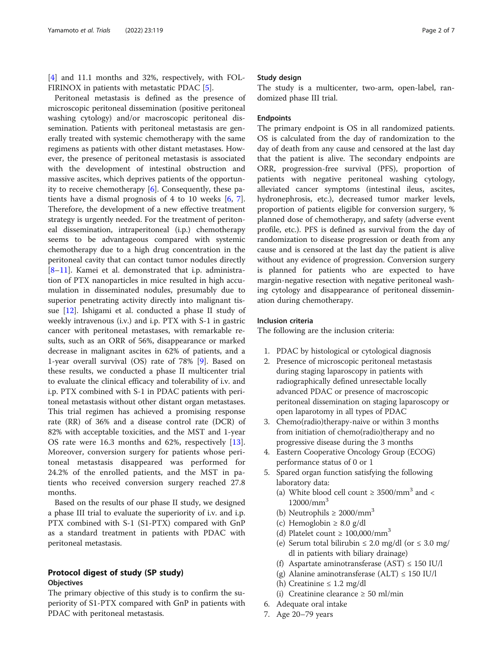[[4\]](#page-5-0) and 11.1 months and 32%, respectively, with FOL-FIRINOX in patients with metastatic PDAC [[5\]](#page-5-0).

Peritoneal metastasis is defined as the presence of microscopic peritoneal dissemination (positive peritoneal washing cytology) and/or macroscopic peritoneal dissemination. Patients with peritoneal metastasis are generally treated with systemic chemotherapy with the same regimens as patients with other distant metastases. However, the presence of peritoneal metastasis is associated with the development of intestinal obstruction and massive ascites, which deprives patients of the opportunity to receive chemotherapy [[6\]](#page-5-0). Consequently, these patients have a dismal prognosis of 4 to 10 weeks [\[6,](#page-5-0) [7](#page-5-0)]. Therefore, the development of a new effective treatment strategy is urgently needed. For the treatment of peritoneal dissemination, intraperitoneal (i.p.) chemotherapy seems to be advantageous compared with systemic chemotherapy due to a high drug concentration in the peritoneal cavity that can contact tumor nodules directly [[8](#page-5-0)–[11\]](#page-5-0). Kamei et al. demonstrated that i.p. administration of PTX nanoparticles in mice resulted in high accumulation in disseminated nodules, presumably due to superior penetrating activity directly into malignant tissue [[12\]](#page-5-0). Ishigami et al. conducted a phase II study of weekly intravenous (i.v.) and i.p. PTX with S-1 in gastric cancer with peritoneal metastases, with remarkable results, such as an ORR of 56%, disappearance or marked decrease in malignant ascites in 62% of patients, and a 1-year overall survival (OS) rate of 78% [[9](#page-5-0)]. Based on these results, we conducted a phase II multicenter trial to evaluate the clinical efficacy and tolerability of i.v. and i.p. PTX combined with S-1 in PDAC patients with peritoneal metastasis without other distant organ metastases. This trial regimen has achieved a promising response rate (RR) of 36% and a disease control rate (DCR) of 82% with acceptable toxicities, and the MST and 1-year OS rate were 16.3 months and 62%, respectively [\[13](#page-5-0)]. Moreover, conversion surgery for patients whose peritoneal metastasis disappeared was performed for 24.2% of the enrolled patients, and the MST in patients who received conversion surgery reached 27.8 months.

Based on the results of our phase II study, we designed a phase III trial to evaluate the superiority of i.v. and i.p. PTX combined with S-1 (S1-PTX) compared with GnP as a standard treatment in patients with PDAC with peritoneal metastasis.

## Protocol digest of study (SP study) **Objectives**

The primary objective of this study is to confirm the superiority of S1-PTX compared with GnP in patients with PDAC with peritoneal metastasis.

## Study design

The study is a multicenter, two-arm, open-label, randomized phase III trial.

## Endpoints

The primary endpoint is OS in all randomized patients. OS is calculated from the day of randomization to the day of death from any cause and censored at the last day that the patient is alive. The secondary endpoints are ORR, progression-free survival (PFS), proportion of patients with negative peritoneal washing cytology, alleviated cancer symptoms (intestinal ileus, ascites, hydronephrosis, etc.), decreased tumor marker levels, proportion of patients eligible for conversion surgery, % planned dose of chemotherapy, and safety (adverse event profile, etc.). PFS is defined as survival from the day of randomization to disease progression or death from any cause and is censored at the last day the patient is alive without any evidence of progression. Conversion surgery is planned for patients who are expected to have margin-negative resection with negative peritoneal washing cytology and disappearance of peritoneal dissemination during chemotherapy.

## Inclusion criteria

The following are the inclusion criteria:

- 1. PDAC by histological or cytological diagnosis
- 2. Presence of microscopic peritoneal metastasis during staging laparoscopy in patients with radiographically defined unresectable locally advanced PDAC or presence of macroscopic peritoneal dissemination on staging laparoscopy or open laparotomy in all types of PDAC
- 3. Chemo(radio)therapy-naive or within 3 months from initiation of chemo(radio)therapy and no progressive disease during the 3 months
- 4. Eastern Cooperative Oncology Group (ECOG) performance status of 0 or 1
- 5. Spared organ function satisfying the following laboratory data:
	- (a) White blood cell count  $\geq$  3500/mm<sup>3</sup> and <  $12000/mm<sup>3</sup>$
	- (b) Neutrophils  $\geq 2000/mm^3$
	- (c) Hemoglobin  $\geq 8.0$  g/dl
	- (d) Platelet count  $\geq 100,000/\text{mm}^3$
	- (e) Serum total bilirubin  $\leq 2.0$  mg/dl (or  $\leq 3.0$  mg/ dl in patients with biliary drainage)
	- (f) Aspartate aminotransferase  $(AST) \le 150$  IU/l
	- (g) Alanine aminotransferase (ALT)  $\leq 150$  IU/l
	- (h) Creatinine  $\leq 1.2$  mg/dl
	- (i) Creatinine clearance ≥ 50 ml/min
- 6. Adequate oral intake
- 7. Age 20–79 years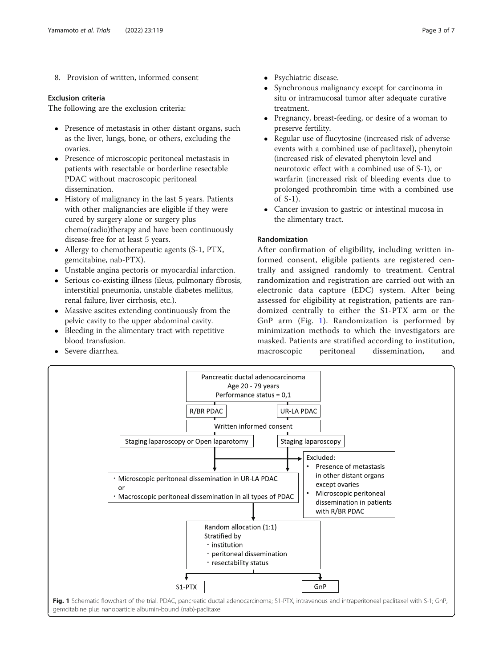8. Provision of written, informed consent

## Exclusion criteria

The following are the exclusion criteria:

- Presence of metastasis in other distant organs, such as the liver, lungs, bone, or others, excluding the ovaries.
- Presence of microscopic peritoneal metastasis in patients with resectable or borderline resectable PDAC without macroscopic peritoneal dissemination.
- History of malignancy in the last 5 years. Patients with other malignancies are eligible if they were cured by surgery alone or surgery plus chemo(radio)therapy and have been continuously disease-free for at least 5 years.
- Allergy to chemotherapeutic agents (S-1, PTX, gemcitabine, nab-PTX).
- Unstable angina pectoris or myocardial infarction.
- Serious co-existing illness (ileus, pulmonary fibrosis, interstitial pneumonia, unstable diabetes mellitus, renal failure, liver cirrhosis, etc.).
- Massive ascites extending continuously from the pelvic cavity to the upper abdominal cavity.
- Bleeding in the alimentary tract with repetitive blood transfusion.
- Severe diarrhea.
- Psychiatric disease.
- Synchronous malignancy except for carcinoma in situ or intramucosal tumor after adequate curative treatment.
- Pregnancy, breast-feeding, or desire of a woman to preserve fertility.
- Regular use of flucytosine (increased risk of adverse events with a combined use of paclitaxel), phenytoin (increased risk of elevated phenytoin level and neurotoxic effect with a combined use of S-1), or warfarin (increased risk of bleeding events due to prolonged prothrombin time with a combined use of S-1).
- Cancer invasion to gastric or intestinal mucosa in the alimentary tract.

## Randomization

After confirmation of eligibility, including written informed consent, eligible patients are registered centrally and assigned randomly to treatment. Central randomization and registration are carried out with an electronic data capture (EDC) system. After being assessed for eligibility at registration, patients are randomized centrally to either the S1-PTX arm or the GnP arm (Fig. 1). Randomization is performed by minimization methods to which the investigators are masked. Patients are stratified according to institution, macroscopic peritoneal dissemination, and

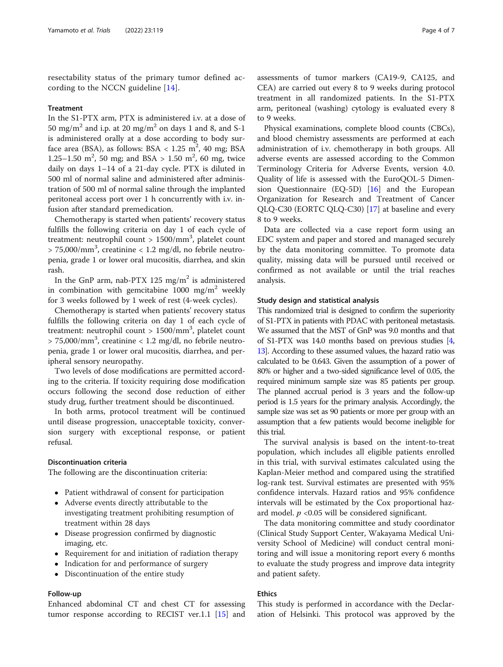resectability status of the primary tumor defined according to the NCCN guideline  $[14]$  $[14]$  $[14]$ .

#### Treatment

In the S1-PTX arm, PTX is administered i.v. at a dose of 50 mg/m<sup>2</sup> and i.p. at 20 mg/m<sup>2</sup> on days 1 and 8, and S-1 is administered orally at a dose according to body surface area (BSA), as follows: BSA <  $1.25 \text{ m}^2$ ,  $40 \text{ mg}$ ; BSA 1.25–1.50 m<sup>2</sup>, 50 mg; and BSA > 1.50 m<sup>2</sup>, 60 mg, twice daily on days 1–14 of a 21-day cycle. PTX is diluted in 500 ml of normal saline and administered after administration of 500 ml of normal saline through the implanted peritoneal access port over 1 h concurrently with i.v. infusion after standard premedication.

Chemotherapy is started when patients' recovery status fulfills the following criteria on day 1 of each cycle of treatment: neutrophil count > 1500/mm<sup>3</sup>, platelet count  $> 75,000/\text{mm}^3$ , creatinine  $< 1.2$  mg/dl, no febrile neutropenia, grade 1 or lower oral mucositis, diarrhea, and skin rash.

In the GnP arm, nab-PTX 125 mg/m<sup>2</sup> is administered in combination with gemcitabine 1000 mg/m<sup>2</sup> weekly for 3 weeks followed by 1 week of rest (4-week cycles).

Chemotherapy is started when patients' recovery status fulfills the following criteria on day 1 of each cycle of treatment: neutrophil count > 1500/mm<sup>3</sup>, platelet count  $> 75,000/\text{mm}^3$ , creatinine  $< 1.2$  mg/dl, no febrile neutropenia, grade 1 or lower oral mucositis, diarrhea, and peripheral sensory neuropathy.

Two levels of dose modifications are permitted according to the criteria. If toxicity requiring dose modification occurs following the second dose reduction of either study drug, further treatment should be discontinued.

In both arms, protocol treatment will be continued until disease progression, unacceptable toxicity, conversion surgery with exceptional response, or patient refusal.

#### Discontinuation criteria

The following are the discontinuation criteria:

- Patient withdrawal of consent for participation
- Adverse events directly attributable to the investigating treatment prohibiting resumption of treatment within 28 days
- Disease progression confirmed by diagnostic imaging, etc.
- Requirement for and initiation of radiation therapy
- Indication for and performance of surgery
- Discontinuation of the entire study

## Follow-up

Enhanced abdominal CT and chest CT for assessing tumor response according to RECIST ver.1.1 [[15\]](#page-5-0) and

assessments of tumor markers (CA19-9, CA125, and CEA) are carried out every 8 to 9 weeks during protocol treatment in all randomized patients. In the S1-PTX arm, peritoneal (washing) cytology is evaluated every 8 to 9 weeks.

Physical examinations, complete blood counts (CBCs), and blood chemistry assessments are performed at each administration of i.v. chemotherapy in both groups. All adverse events are assessed according to the Common Terminology Criteria for Adverse Events, version 4.0. Quality of life is assessed with the EuroQOL-5 Dimension Questionnaire (EQ-5D) [\[16](#page-5-0)] and the European Organization for Research and Treatment of Cancer QLQ-C30 (EORTC QLQ-C30) [\[17](#page-5-0)] at baseline and every 8 to 9 weeks.

Data are collected via a case report form using an EDC system and paper and stored and managed securely by the data monitoring committee. To promote data quality, missing data will be pursued until received or confirmed as not available or until the trial reaches analysis.

## Study design and statistical analysis

This randomized trial is designed to confirm the superiority of S1-PTX in patients with PDAC with peritoneal metastasis. We assumed that the MST of GnP was 9.0 months and that of S1-PTX was 14.0 months based on previous studies [\[4](#page-5-0), [13\]](#page-5-0). According to these assumed values, the hazard ratio was calculated to be 0.643. Given the assumption of a power of 80% or higher and a two-sided significance level of 0.05, the required minimum sample size was 85 patients per group. The planned accrual period is 3 years and the follow-up period is 1.5 years for the primary analysis. Accordingly, the sample size was set as 90 patients or more per group with an assumption that a few patients would become ineligible for this trial.

The survival analysis is based on the intent-to-treat population, which includes all eligible patients enrolled in this trial, with survival estimates calculated using the Kaplan-Meier method and compared using the stratified log-rank test. Survival estimates are presented with 95% confidence intervals. Hazard ratios and 95% confidence intervals will be estimated by the Cox proportional hazard model.  $p \le 0.05$  will be considered significant.

The data monitoring committee and study coordinator (Clinical Study Support Center, Wakayama Medical University School of Medicine) will conduct central monitoring and will issue a monitoring report every 6 months to evaluate the study progress and improve data integrity and patient safety.

## Ethics

This study is performed in accordance with the Declaration of Helsinki. This protocol was approved by the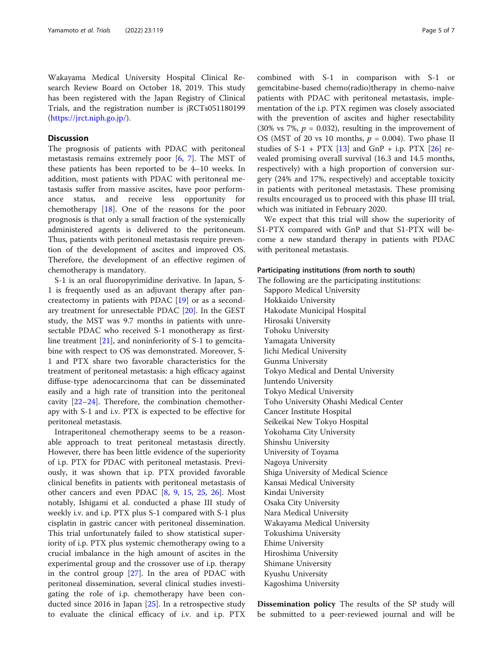Wakayama Medical University Hospital Clinical Research Review Board on October 18, 2019. This study has been registered with the Japan Registry of Clinical Trials, and the registration number is jRCTs051180199 ([https://jrct.niph.go.jp/\)](https://jrct.niph.go.jp/).

## **Discussion**

The prognosis of patients with PDAC with peritoneal metastasis remains extremely poor [[6,](#page-5-0) [7](#page-5-0)]. The MST of these patients has been reported to be 4–10 weeks. In addition, most patients with PDAC with peritoneal metastasis suffer from massive ascites, have poor performance status, and receive less opportunity for chemotherapy [\[18](#page-5-0)]. One of the reasons for the poor prognosis is that only a small fraction of the systemically administered agents is delivered to the peritoneum. Thus, patients with peritoneal metastasis require prevention of the development of ascites and improved OS. Therefore, the development of an effective regimen of chemotherapy is mandatory.

S-1 is an oral fluoropyrimidine derivative. In Japan, S-1 is frequently used as an adjuvant therapy after pancreatectomy in patients with PDAC [[19\]](#page-5-0) or as a secondary treatment for unresectable PDAC [[20\]](#page-5-0). In the GEST study, the MST was 9.7 months in patients with unresectable PDAC who received S-1 monotherapy as firstline treatment [[21\]](#page-6-0), and noninferiority of S-1 to gemcitabine with respect to OS was demonstrated. Moreover, S-1 and PTX share two favorable characteristics for the treatment of peritoneal metastasis: a high efficacy against diffuse-type adenocarcinoma that can be disseminated easily and a high rate of transition into the peritoneal cavity [[22](#page-6-0)–[24](#page-6-0)]. Therefore, the combination chemotherapy with S-1 and i.v. PTX is expected to be effective for peritoneal metastasis.

Intraperitoneal chemotherapy seems to be a reasonable approach to treat peritoneal metastasis directly. However, there has been little evidence of the superiority of i.p. PTX for PDAC with peritoneal metastasis. Previously, it was shown that i.p. PTX provided favorable clinical benefits in patients with peritoneal metastasis of other cancers and even PDAC [\[8](#page-5-0), [9,](#page-5-0) [15,](#page-5-0) [25](#page-6-0), [26\]](#page-6-0). Most notably, Ishigami et al. conducted a phase III study of weekly i.v. and i.p. PTX plus S-1 compared with S-1 plus cisplatin in gastric cancer with peritoneal dissemination. This trial unfortunately failed to show statistical superiority of i.p. PTX plus systemic chemotherapy owing to a crucial imbalance in the high amount of ascites in the experimental group and the crossover use of i.p. therapy in the control group [\[27](#page-6-0)]. In the area of PDAC with peritoneal dissemination, several clinical studies investigating the role of i.p. chemotherapy have been conducted since 2016 in Japan [[25\]](#page-6-0). In a retrospective study to evaluate the clinical efficacy of i.v. and i.p. PTX

combined with S-1 in comparison with S-1 or gemcitabine-based chemo(radio)therapy in chemo-naive patients with PDAC with peritoneal metastasis, implementation of the i.p. PTX regimen was closely associated with the prevention of ascites and higher resectability (30% vs 7%,  $p = 0.032$ ), resulting in the improvement of OS (MST of 20 vs 10 months,  $p = 0.004$ ). Two phase II studies of  $S-1$  +  $PTX$  [\[13](#page-5-0)] and  $GnP$  + i.p.  $PTX$  [\[26\]](#page-6-0) revealed promising overall survival (16.3 and 14.5 months, respectively) with a high proportion of conversion surgery (24% and 17%, respectively) and acceptable toxicity in patients with peritoneal metastasis. These promising results encouraged us to proceed with this phase III trial, which was initiated in February 2020.

We expect that this trial will show the superiority of S1-PTX compared with GnP and that S1-PTX will become a new standard therapy in patients with PDAC with peritoneal metastasis.

## Participating institutions (from north to south)

The following are the participating institutions: Sapporo Medical University Hokkaido University Hakodate Municipal Hospital Hirosaki University Tohoku University Yamagata University Jichi Medical University Gunma University Tokyo Medical and Dental University Juntendo University Tokyo Medical University Toho University Ohashi Medical Center Cancer Institute Hospital Seikeikai New Tokyo Hospital Yokohama City University Shinshu University University of Toyama Nagoya University Shiga University of Medical Science Kansai Medical University Kindai University Osaka City University Nara Medical University Wakayama Medical University Tokushima University Ehime University Hiroshima University Shimane University Kyushu University Kagoshima University

Dissemination policy The results of the SP study will be submitted to a peer-reviewed journal and will be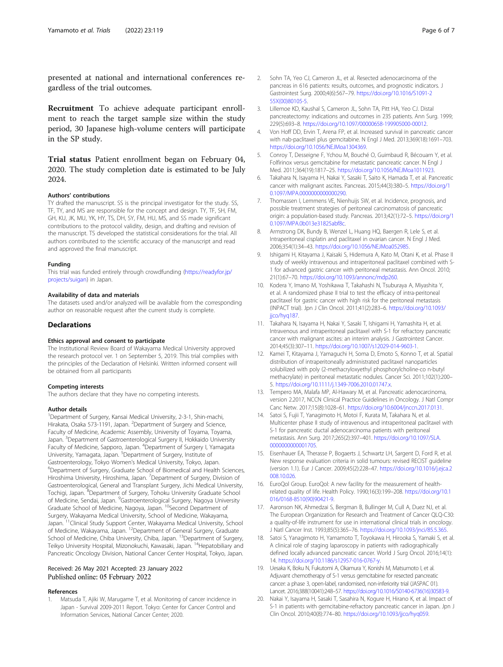<span id="page-5-0"></span>presented at national and international conferences regardless of the trial outcomes.

Recruitment To achieve adequate participant enrollment to reach the target sample size within the study period, 30 Japanese high-volume centers will participate in the SP study.

Trial status Patient enrollment began on February 04, 2020. The study completion date is estimated to be July 2024.

#### Authors' contributions

TY drafted the manuscript. SS is the principal investigator for the study. SS, TF, TY, and MS are responsible for the concept and design. TY, TF, SH, FM, GH, KU, JK, MU, YK, HY, TS, DH, SY, FM, HU, MS, and SS made significant contributions to the protocol validity, design, and drafting and revision of the manuscript. TS developed the statistical considerations for the trial. All authors contributed to the scientific accuracy of the manuscript and read and approved the final manuscript.

#### Funding

This trial was funded entirely through crowdfunding [\(https://readyfor.jp/](https://readyfor.jp/projects/suigan) [projects/suigan\)](https://readyfor.jp/projects/suigan) in Japan.

#### Availability of data and materials

The datasets used and/or analyzed will be available from the corresponding author on reasonable request after the current study is complete.

#### **Declarations**

#### Ethics approval and consent to participate

The Institutional Review Board of Wakayama Medical University approved the research protocol ver. 1 on September 5, 2019. This trial complies with the principles of the Declaration of Helsinki. Written informed consent will be obtained from all participants

#### Competing interests

The authors declare that they have no competing interests.

#### Author details

<sup>1</sup>Department of Surgery, Kansai Medical University, 2-3-1, Shin-machi, Hirakata, Osaka 573-1191, Japan. <sup>2</sup>Department of Surgery and Science, Faculty of Medicine, Academic Assembly, University of Toyama, Toyama, Japan. <sup>3</sup> Department of Gastroenterological Surgery II, Hokkaido University Faculty of Medicine, Sapporo, Japan. <sup>4</sup>Department of Surgery I, Yamagata University, Yamagata, Japan. <sup>5</sup>Department of Surgery, Institute of Gastroenterology, Tokyo Women's Medical University, Tokyo, Japan. <sup>6</sup> Department of Surgery, Graduate School of Biomedical and Health Sciences, Hiroshima University, Hiroshima, Japan. <sup>7</sup> Department of Surgery, Division of Gastroenterological, General and Transplant Surgery, Jichi Medical University, Tochigi, Japan. <sup>8</sup>Department of Surgery, Tohoku University Graduate School of Medicine, Sendai, Japan. <sup>9</sup>Gastroenterological Surgery, Nagoya University Graduate School of Medicine, Nagoya, Japan. <sup>10</sup>Second Department of Surgery, Wakayama Medical University, School of Medicine, Wakayama, Japan. 11Clinical Study Support Center, Wakayama Medical University, School of Medicine, Wakayama, Japan. 12Department of General Surgery, Graduate School of Medicine, Chiba University, Chiba, Japan. <sup>13</sup>Department of Surgery, Teikyo University Hospital, Mizonokuchi, Kawasaki, Japan. <sup>14</sup>Hepatobiliary and Pancreatic Oncology Division, National Cancer Center Hospital, Tokyo, Japan.

## Received: 26 May 2021 Accepted: 23 January 2022 Published online: 05 February 2022

#### References

Matsuda T, Ajiki W, Marugame T, et al. Monitoring of cancer incidence in Japan - Survival 2009-2011 Report. Tokyo: Center for Cancer Control and Information Services, National Cancer Center; 2020.

- 2. Sohn TA, Yeo CJ, Cameron JL, et al. Resected adenocarcinoma of the pancreas in 616 patients: results, outcomes, and prognostic indicators. J Gastrointest Surg. 2000;4(6):567–79. [https://doi.org/10.1016/S1091-2](https://doi.org/10.1016/S1091-255X(00)80105-5) [55X\(00\)80105-5.](https://doi.org/10.1016/S1091-255X(00)80105-5)
- 3. Lillemoe KD, Kaushal S, Cameron JL, Sohn TA, Pitt HA, Yeo CJ. Distal pancreatectomy: indications and outcomes in 235 patients. Ann Surg. 1999; 229(5):693–8. <https://doi.org/10.1097/00000658-199905000-00012>.
- 4. Von Hoff DD, Ervin T, Arena FP, et al. Increased survival in pancreatic cancer with nab-paclitaxel plus gemcitabine. N Engl J Med. 2013;369(18):1691–703. [https://doi.org/10.1056/NEJMoa1304369.](https://doi.org/10.1056/NEJMoa1304369)
- 5. Conroy T, Desseigne F, Ychou M, Bouché O, Guimbaud R, Bécouarn Y, et al. Folfirinox versus gemcitabine for metastatic pancreatic cancer. N Engl J Med. 2011;364(19):1817–25. [https://doi.org/10.1056/NEJMoa1011923.](https://doi.org/10.1056/NEJMoa1011923)
- 6. Takahara N, Isayama H, Nakai Y, Sasaki T, Saito K, Hamada T, et al. Pancreatic cancer with malignant ascites. Pancreas. 2015;44(3):380–5. [https://doi.org/1](https://doi.org/10.1097/MPA.0000000000000290) [0.1097/MPA.0000000000000290](https://doi.org/10.1097/MPA.0000000000000290).
- 7. Thomassen I, Lemmens VE, Nienhuijs SW, et al. Incidence, prognosis, and possible treatment strategies of peritoneal carcinomatosis of pancreatic origin: a population-based study. Pancreas. 2013;42(1):72–5. [https://doi.org/1](https://doi.org/10.1097/MPA.0b013e31825abf8c) [0.1097/MPA.0b013e31825abf8c](https://doi.org/10.1097/MPA.0b013e31825abf8c).
- 8. Armstrong DK, Bundy B, Wenzel L, Huang HQ, Baergen R, Lele S, et al. Intraperitoneal cisplatin and paclitaxel in ovarian cancer. N Engl J Med. 2006;354(1):34–43. <https://doi.org/10.1056/NEJMoa052985>.
- 9. Ishigami H, Kitayama J, Kaisaki S, Hidemura A, Kato M, Otani K, et al. Phase II study of weekly intravenous and intraperitoneal paclitaxel combined with S-1 for advanced gastric cancer with peritoneal metastasis. Ann Oncol. 2010; 21(1):67–70. <https://doi.org/10.1093/annonc/mdp260>.
- 10. Kodera Y, Imano M, Yoshikawa T, Takahashi N, Tsuburaya A, Miyashita Y, et al. A randomized phase II trial to test the efficacy of intra-peritoneal paclitaxel for gastric cancer with high risk for the peritoneal metastasis (INPACT trial). Jpn J Clin Oncol. 2011;41(2):283–6. [https://doi.org/10.1093/](https://doi.org/10.1093/jjco/hyq187) iico/hya187.
- 11. Takahara N, Isayama H, Nakai Y, Sasaki T, Ishigami H, Yamashita H, et al. Intravenous and intraperitoneal paclitaxel with S-1 for refractory pancreatic cancer with malignant ascites: an interim analysis. J Gastrointest Cancer. 2014;45(3):307–11. <https://doi.org/10.1007/s12029-014-9603-1>.
- 12. Kamei T, Kitayama J, Yamaguchi H, Soma D, Emoto S, Konno T, et al. Spatial distribution of intraperitoneally administrated paclitaxel nanoparticles solubilized with poly (2-methacryloxyethyl phosphorylcholine-co n-butyl methacrylate) in peritoneal metastatic nodules. Cancer Sci. 2011;102(1):200– 5. <https://doi.org/10.1111/j.1349-7006.2010.01747.x>.
- 13. Tempero MA, Malafa MP, Al-Hawary M, et al. Pancreatic adenocarcinoma, version 2.2017, NCCN Clinical Practice Guidelines in Oncology. J Natl Compr Canc Netw. 2017;15(8):1028–61. <https://doi.org/10.6004/jnccn.2017.0131>.
- 14. Satoi S, Fujii T, Yanagimoto H, Motoi F, Kurata M, Takahara N, et al. Multicenter phase II study of intravenous and intraperitoneal paclitaxel with S-1 for pancreatic ductal adenocarcinoma patients with peritoneal metastasis. Ann Surg. 2017;265(2):397–401. [https://doi.org/10.1097/SLA.](https://doi.org/10.1097/SLA.0000000000001705) [0000000000001705](https://doi.org/10.1097/SLA.0000000000001705).
- 15. Eisenhauer EA, Therasse P, Bogaerts J, Schwartz LH, Sargent D, Ford R, et al. New response evaluation criteria in solid tumours: revised RECIST guideline (version 1.1). Eur J Cancer. 2009;45(2):228–47. [https://doi.org/10.1016/j.ejca.2](https://doi.org/10.1016/j.ejca.2008.10.026) [008.10.026](https://doi.org/10.1016/j.ejca.2008.10.026).
- 16. EuroQol Group. EuroQol: A new facility for the measurement of healthrelated quality of life. Health Policy. 1990;16(3):199–208. [https://doi.org/10.1](https://doi.org/10.1016/0168-8510(90)90421-9) [016/0168-8510\(90\)90421-9.](https://doi.org/10.1016/0168-8510(90)90421-9)
- 17. Aaronson NK, Ahmedzai S, Bergman B, Bullinger M, Cull A, Duez NJ, et al. The European Organization for Research and Treatment of Cancer QLQ-C30: a quality-of-life instrument for use in international clinical trials in oncology. J Natl Cancer Inst. 1993;85(5):365–76. <https://doi.org/10.1093/jnci/85.5.365>.
- 18. Satoi S, Yanagimoto H, Yamamoto T, Toyokawa H, Hirooka S, Yamaki S, et al. A clinical role of staging laparoscopy in patients with radiographically defined locally advanced pancreatic cancer. World J Surg Oncol. 2016;14(1): 14. [https://doi.org/10.1186/s12957-016-0767-y.](https://doi.org/10.1186/s12957-016-0767-y)
- 19. Uesaka K, Boku N, Fukutomi A, Okamura Y, Konishi M, Matsumoto I, et al. Adjuvant chemotherapy of S-1 versus gemcitabine for resected pancreatic cancer: a phase 3, open-label, randomised, non-inferiority trial (JASPAC 01). Lancet. 2016;388(10041):248–57. [https://doi.org/10.1016/S0140-6736\(16\)30583-9](https://doi.org/10.1016/S0140-6736(16)30583-9).
- 20. Nakai Y, Isayama H, Sasaki T, Sasahira N, Kogure H, Hirano K, et al. Impact of S-1 in patients with gemcitabine-refractory pancreatic cancer in Japan. Jpn J Clin Oncol. 2010;40(8):774–80. <https://doi.org/10.1093/jjco/hyq059>.